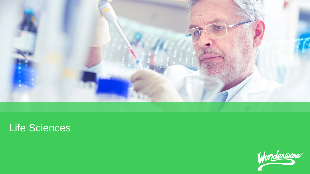

# Life Sciences

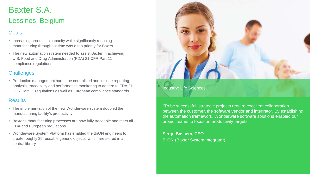### Baxter S.A. Lessines, Belgium

### **Goals**

- Increasing production capacity while significantly reducing manufacturing throughput time was a top priority for Baxter
- The new automation system needed to assist Baxter in achieving U.S. Food and Drug Administration (FDA) 21 CFR Part 11 compliance regulations

### **Challenges**

• Production management had to be centralized and include reporting, analysis, traceability and performance monitoring to adhere to FDA 21 CFR Part 11 regulations as well as European compliance standards

#### Results

- The implementation of the new Wonderware system doubled the manufacturing facility's productivity
- Baxter's manufacturing processes are now fully traceable and meet all FDA and European regulations
- Wonderware System Platform has enabled the BiiON engineers to create roughly 35 reusable generic objects, which are stored in a central library



"To be successful, strategic projects require excellent collaboration between the customer, the software vendor and integrator. By establishing the automation framework, Wonderware software solutions enabled our project teams to focus on productivity targets."

**Serge Bassem, CEO**  BiiON (Baxter System Integrator)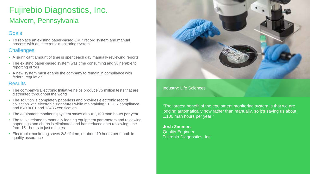## Fujirebio Diagnostics, Inc. Malvern, Pennsylvania

### Goals

• To replace an existing paper-based GMP record system and manual process with an electronic monitoring system

### **Challenges**

- A significant amount of time is spent each day manually reviewing reports
- The existing paper-based system was time consuming and vulnerable to reporting errors
- A new system must enable the company to remain in compliance with federal regulation

### **Results**

- The company's Electronic Initiative helps produce 75 million tests that are distributed throughout the world
- The solution is completely paperless and provides electronic record collection with electronic signatures while maintaining 21 CFR compliance and ISO 9001 and 13485 certification
- The equipment monitoring system saves about 1,100 man hours per year
- The tasks related to manually logging equipment parameters and reviewing paper logs and charts is eliminated and has reduced data reviewing time from 15+ hours to just minutes
- Electronic monitoring saves 2/3 of time, or about 10 hours per month in quality assurance



#### Industry: Life Sciences

"The largest benefit of the equipment monitoring system is that we are logging automatically now rather than manually, so it's saving us about 1,100 man hours per year."

**Josh Zimmer,** Quality Engineer Fujirebio Diagnostics, Inc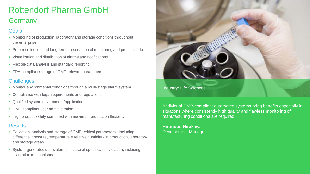### Rottendorf Pharma GmbH Germany

### **Goals**

- Monitoring of production, laboratory and storage conditions throughout the enterprise
- Proper collection and long-term preservation of monitoring and process data
- Visualization and distribution of alarms and notifications
- Flexible data analysis and standard reporting
- FDA-compliant storage of GMP-relevant parameters

### **Challenges**

- Monitor environmental conditions through a multi-stage alarm system
- Compliance with legal requirements and regulations
- Qualified system environment/application
- GMP-compliant user administration
- High product safety combined with maximum production flexibility

#### **Results**

- Collection, analysis and storage of GMP- critical parameters including differential pressure, temperature e relative humidity - in production, laboratory and storage areas.
- System-generated users alarms in case of specification violation, including escalation mechanisms



"Individual GMP-compliant automated systems bring benefits especially in situations where consistently high quality and flawless monitoring of manufacturing conditions are required.

**Hironobu Hirakawa** Development Manager